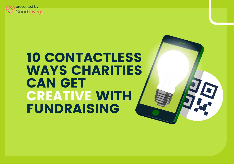

# 10 CONTACTLESS WAYS CHARITIES CAN GET CREATIVE WITH FUNDRAISING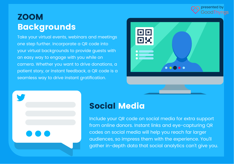

# **ZOOM** Backgrounds

Take your virtual events, webinars and meetings one step further. Incorporate a QR code into your virtual backgrounds to provide guests with an easy way to engage with you while on camera. Whether you want to drive donations, a patient story, or instant feedback, a QR code is a seamless way to drive instant gratification.





### Social Media

Include your QR code on social media for extra support from online donors. Instant links and eye-capturing QR codes on social media will help you reach far larger audiences, so impress them with the experience. You'll gather in-depth data that social analytics can't give you.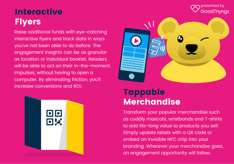#### presented byGoodThynas

# **Interactive Flyers**

Raise additional funds with eye-catching interactive flyers and track data in ways you've not been able to do before. The engagement insights can be as granular as location or individual booklet. Readers will be able to act on their in-the-moment impulses, without having to open a computer. By eliminating friction, you'll increase conversions and ROI.





# Tappable Merchandise

Transform your popular merchandise such as cuddly mascots, wristbands and T-shirts to add life-long value to products you sell. Simply update labels with a QR code or embed an invisible NFC chip into your branding. Wherever your merchandise goes, an engagement opportunity will follow.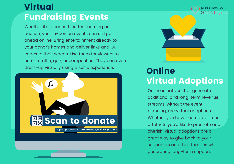# Virtual Fundraising Events

Whether it's a concert, coffee morning or auction, your in-person events can still go ahead online. Bring entertainment directly to your donor's homes and deliver links and QR codes to their screen. Use them for viewers to enter a raffle, quiz, or competition. They can even dress-up virtually using a selfie experience.





presented byGoodThyngs

**Online** Virtual Adoptions

Online initiatives that generate additional and long-term revenue streams, without the event planning, are virtual adoptions. Whether you have memorabilia or artefacts you'd like to promote and cherish, virtual adoptions are a great way to give back to your supporters and their families whilst generating long-term support.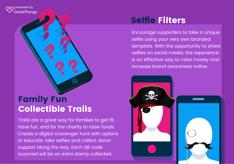presented byGoodThynas

# Family Fun Collectible Trails

Trails are a great way for families to get fit, have fun, and for the charity to raise funds. Create a digital scavenger hunt with options to educate, take selfies and collect donor support along the way. Each QR code scanned will be an extra stamp collected.

# Selfie Filters

Encourage supporters to take a unique selfie using your very own branded template. With the opportunity to share selfies on social media, the experience is an effective way to raise money and increase brand awareness online.